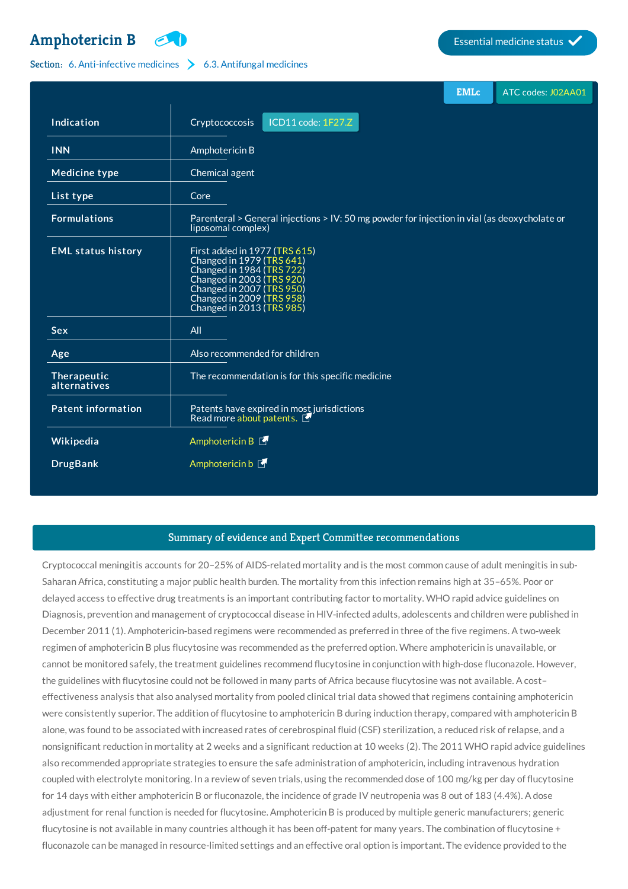## **[Amphotericin](http://list.essentialmeds.org/medicines/357) B Example 3 Essential medicine status**



## Section: 6. [Anti-infective](http://list.essentialmeds.org/?section=332) medicines  $\geq 6.3$ . [Antifungal](http://list.essentialmeds.org/?section=342) medicines

|                             |                                                                                                                                                                                                             | <b>EMLc</b> | ATC codes: J02AA01 |
|-----------------------------|-------------------------------------------------------------------------------------------------------------------------------------------------------------------------------------------------------------|-------------|--------------------|
| <b>Indication</b>           | ICD11 code: 1F27.Z<br>Cryptococcosis                                                                                                                                                                        |             |                    |
| <b>INN</b>                  | Amphotericin B                                                                                                                                                                                              |             |                    |
| <b>Medicine type</b>        | Chemical agent                                                                                                                                                                                              |             |                    |
| List type                   | Core                                                                                                                                                                                                        |             |                    |
| <b>Formulations</b>         | Parenteral > General injections > IV: 50 mg powder for injection in vial (as deoxycholate or<br>liposomal complex)                                                                                          |             |                    |
| <b>EML status history</b>   | First added in 1977 (TRS 615)<br>Changed in 1979 (TRS 641)<br>Changed in 1984 (TRS 722)<br>Changed in 2003 (TRS 920)<br>Changed in 2007 (TRS 950)<br>Changed in 2009 (TRS 958)<br>Changed in 2013 (TRS 985) |             |                    |
| <b>Sex</b>                  | All                                                                                                                                                                                                         |             |                    |
| Age                         | Also recommended for children                                                                                                                                                                               |             |                    |
| Therapeutic<br>alternatives | The recommendation is for this specific medicine                                                                                                                                                            |             |                    |
| <b>Patent information</b>   | Patents have expired in most jurisdictions<br>Read more about patents.                                                                                                                                      |             |                    |
| Wikipedia                   | Amphotericin B                                                                                                                                                                                              |             |                    |
| <b>DrugBank</b>             | Amphotericin b <b>F</b>                                                                                                                                                                                     |             |                    |

## Summary of evidence and Expert Committee recommendations

Cryptococcal meningitis accounts for 20–25% of AIDS-related mortality and is the most common cause of adult meningitis in sub‐ Saharan Africa, constituting a major public health burden. The mortality from this infection remains high at 35–65%. Poor or delayed access to effective drug treatments is an important contributing factor to mortality. WHO rapid advice guidelines on Diagnosis, prevention and management of cryptococcal disease in HIV‐infected adults, adolescents and children were published in December 2011 (1). Amphotericin-based regimens were recommended as preferred in three of the five regimens. A two-week regimen of amphotericin B plus flucytosine was recommended as the preferred option. Where amphotericin is unavailable, or cannot be monitored safely, the treatment guidelines recommend flucytosine in conjunction with high-dose fluconazole. However, the guidelines with flucytosine could not be followed in many parts of Africa because flucytosine was not available. A cost– effectiveness analysis that also analysed mortality from pooled clinical trial data showed that regimens containing amphotericin were consistently superior. The addition of flucytosine to amphotericin B during induction therapy, compared with amphotericin B alone, was found to be associated with increased rates of cerebrospinal fluid (CSF) sterilization, a reduced risk of relapse, and a nonsignificant reduction in mortality at 2 weeks and a significant reduction at 10 weeks (2). The 2011 WHO rapid advice guidelines also recommended appropriate strategies to ensure the safe administration of amphotericin, including intravenous hydration coupled with electrolyte monitoring. In a review of seven trials, using the recommended dose of 100 mg/kg per day of flucytosine for 14 days with either amphotericin B or fluconazole, the incidence of grade IV neutropenia was 8 out of 183 (4.4%). A dose adjustment for renal function is needed for flucytosine. Amphotericin B is produced by multiple generic manufacturers; generic flucytosine is not available in many countries although it has been off-patent for many years. The combination of flucytosine + fluconazole can be managed in resource-limited settings and an effective oral option is important. The evidence provided to the